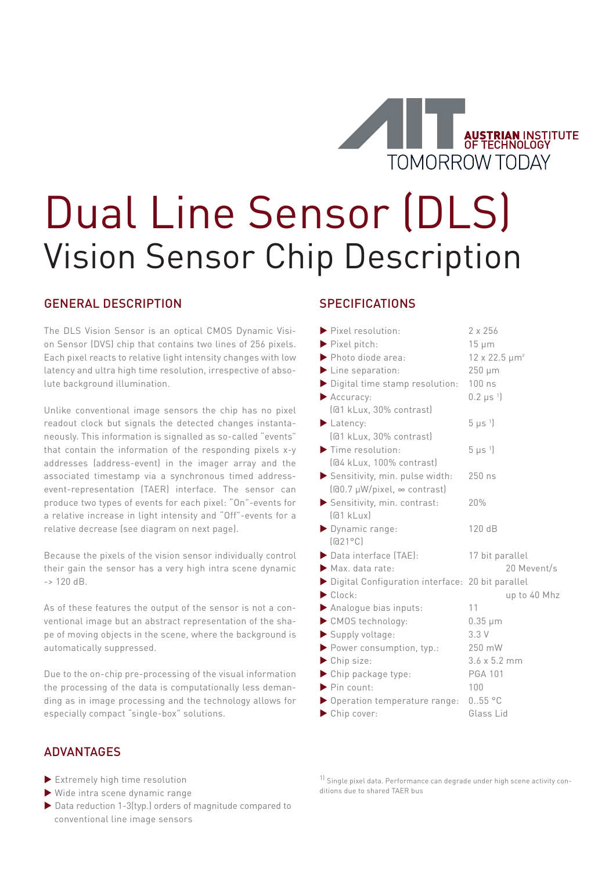

# Dual Line Sensor (DLS) Vision Sensor Chip Description

# GENERAL DESCRIPTION

The DLS Vision Sensor is an optical CMOS Dynamic Vision Sensor (DVS) chip that contains two lines of 256 pixels. Each pixel reacts to relative light intensity changes with low latency and ultra high time resolution, irrespective of absolute background illumination.

Unlike conventional image sensors the chip has no pixel readout clock but signals the detected changes instantaneously. This information is signalled as so-called "events" that contain the information of the responding pixels x-y addresses (address-event) in the imager array and the associated timestamp via a synchronous timed addressevent-representation (TAER) interface. The sensor can produce two types of events for each pixel: "On"-events for a relative increase in light intensity and "Off"-events for a relative decrease (see diagram on next page).

Because the pixels of the vision sensor individually control their gain the sensor has a very high intra scene dynamic  $-$  > 120 dB.

As of these features the output of the sensor is not a conventional image but an abstract representation of the shape of moving objects in the scene, where the background is automatically suppressed.

Due to the on-chip pre-processing of the visual information the processing of the data is computationally less demanding as in image processing and the technology allows for especially compact "single-box" solutions.

#### ADVANTAGES

- Extremely high time resolution
- Wide intra scene dynamic range
- ▶ Data reduction 1-3(typ.) orders of magnitude compared to conventional line image sensors

#### **SPECIFICATIONS**

| $\blacktriangleright$ Pixel resolution:          | 2 x 256                     |
|--------------------------------------------------|-----------------------------|
| $\blacktriangleright$ Pixel pitch:               | $15 \mu m$                  |
| $\blacktriangleright$ Photo diode area:          | $12 \times 22.5 \mu m^2$    |
| $\blacktriangleright$ Line separation:           | 250 µm                      |
| Digital time stamp resolution:                   | 100 ns                      |
| Accuracy:                                        | $0.2 \mu s$ <sup>1</sup>    |
| (@1 kLux, 30% contrast)                          |                             |
| Latency:                                         | $5 \mu s$ <sup>1</sup>      |
| (@1 kLux, 30% contrast)                          |                             |
| $\blacktriangleright$ Time resolution:           | $5 \mu s$ <sup>1</sup>      |
| (@4 kLux, 100% contrast)                         |                             |
| Sensitivity, min. pulse width:                   | 250 ns                      |
| $[60.7 \mu W/pixel, \infty$ contrast)            |                             |
| Sensitivity, min. contrast:                      | 20%                         |
| [@1 kLux]                                        |                             |
| Dynamic range:                                   | 120 dB                      |
| $\left[\text{a21}^{\circ}\text{C}\right]$        |                             |
| $\triangleright$ Data interface $[TAE]$ :        | 17 bit parallel             |
| $\blacktriangleright$ Max. data rate:            | 20 Mevent/s                 |
| Digital Configuration interface: 20 bit parallel |                             |
| $\blacktriangleright$ Clock:                     | up to 40 Mhz                |
| Analogue bias inputs:                            | 11                          |
| CMOS technology:                                 | $0.35 \mu m$                |
| Supply voltage:                                  | 3.3V                        |
| Power consumption, typ.:                         | 250 mW                      |
| Chip size:                                       | $3.6 \times 5.2 \text{ mm}$ |
| Chip package type:                               | <b>PGA 101</b>              |
| $\blacktriangleright$ Pin count:                 | 100                         |
| • Operation temperature range:                   | 0.55 °C                     |
| $\blacktriangleright$ Chip cover:                | Glass Lid                   |

<sup>1)</sup> Single pixel data. Performance can degrade under high scene activity conditions due to shared TAER bus